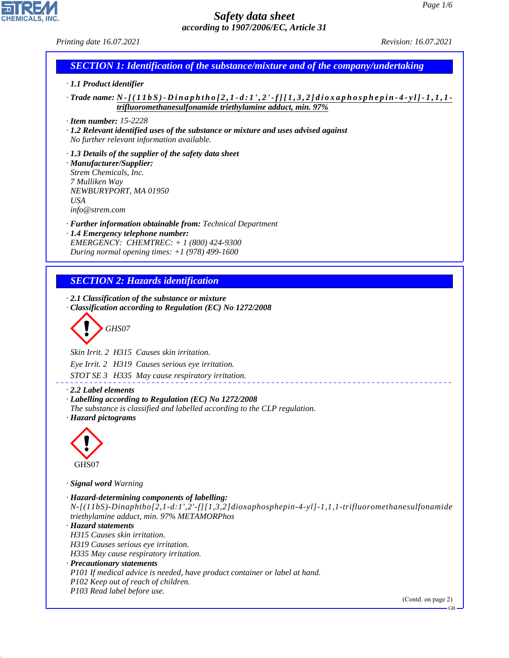*Printing date 16.07.2021 Revision: 16.07.2021*

# *SECTION 1: Identification of the substance/mixture and of the company/undertaking*

## *· 1.1 Product identifier*

*· Trade name: N - [ ( 1 1 b S ) - D i n a p h t h o [ 2 , 1 - d : 1 ' , 2 ' - f ] [ 1 , 3 , 2 ] d i o x a p h o s p h e p i n - 4 - y l ] - 1 , 1 , 1 trifluoromethanesulfonamide triethylamine adduct, min. 97%*

*· Item number: 15-2228*

*· 1.2 Relevant identified uses of the substance or mixture and uses advised against No further relevant information available.*

*· 1.3 Details of the supplier of the safety data sheet · Manufacturer/Supplier: Strem Chemicals, Inc. 7 Mulliken Way NEWBURYPORT, MA 01950 USA info@strem.com*

*· Further information obtainable from: Technical Department · 1.4 Emergency telephone number: EMERGENCY: CHEMTREC: + 1 (800) 424-9300*

*During normal opening times: +1 (978) 499-1600*

## *SECTION 2: Hazards identification*

*· 2.1 Classification of the substance or mixture · Classification according to Regulation (EC) No 1272/2008*

d~*GHS07*

*Skin Irrit. 2 H315 Causes skin irritation.*

*Eye Irrit. 2 H319 Causes serious eye irritation.*

*STOT SE 3 H335 May cause respiratory irritation.*

*· 2.2 Label elements*

*· Labelling according to Regulation (EC) No 1272/2008 The substance is classified and labelled according to the CLP regulation.*

*· Hazard pictograms*



44.1.1

*· Signal word Warning*

*· Hazard-determining components of labelling: N-[(11bS)-Dinaphtho[2,1-d:1',2'-f][1,3,2]dioxaphosphepin-4-yl]-1,1,1-trifluoromethanesulfonamide triethylamine adduct, min. 97% METAMORPhos · Hazard statements H315 Causes skin irritation. H319 Causes serious eye irritation. H335 May cause respiratory irritation. · Precautionary statements P101 If medical advice is needed, have product container or label at hand. P102 Keep out of reach of children. P103 Read label before use.* (Contd. on page 2)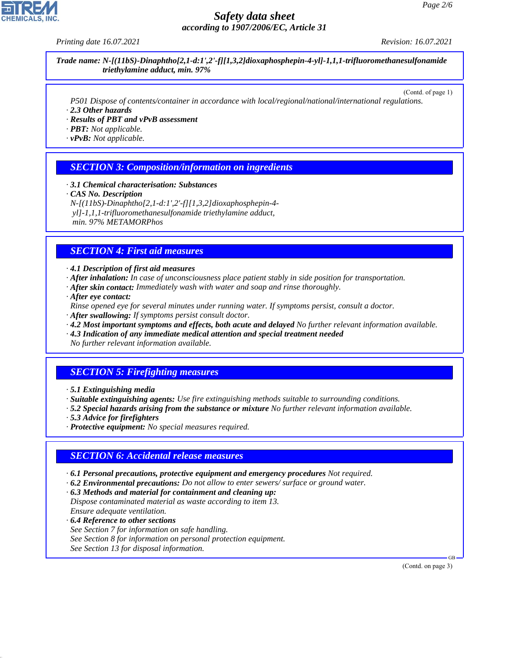*Printing date 16.07.2021 Revision: 16.07.2021*

*Trade name: N-[(11bS)-Dinaphtho[2,1-d:1',2'-f][1,3,2]dioxaphosphepin-4-yl]-1,1,1-trifluoromethanesulfonamide triethylamine adduct, min. 97%*

(Contd. of page 1) *P501 Dispose of contents/container in accordance with local/regional/national/international regulations.*

*· 2.3 Other hazards*

*· Results of PBT and vPvB assessment*

*· PBT: Not applicable.*

*· vPvB: Not applicable.*

## *SECTION 3: Composition/information on ingredients*

*· 3.1 Chemical characterisation: Substances*

*· CAS No. Description*

*N-[(11bS)-Dinaphtho[2,1-d:1',2'-f][1,3,2]dioxaphosphepin-4 yl]-1,1,1-trifluoromethanesulfonamide triethylamine adduct, min. 97% METAMORPhos*

## *SECTION 4: First aid measures*

*· 4.1 Description of first aid measures*

- *· After inhalation: In case of unconsciousness place patient stably in side position for transportation.*
- *· After skin contact: Immediately wash with water and soap and rinse thoroughly.*
- *· After eye contact:*

*Rinse opened eye for several minutes under running water. If symptoms persist, consult a doctor.*

- *· After swallowing: If symptoms persist consult doctor.*
- *· 4.2 Most important symptoms and effects, both acute and delayed No further relevant information available.*

*· 4.3 Indication of any immediate medical attention and special treatment needed No further relevant information available.*

## *SECTION 5: Firefighting measures*

*· 5.1 Extinguishing media*

*· Suitable extinguishing agents: Use fire extinguishing methods suitable to surrounding conditions.*

- *· 5.2 Special hazards arising from the substance or mixture No further relevant information available.*
- *· 5.3 Advice for firefighters*

44.1.1

*· Protective equipment: No special measures required.*

#### *SECTION 6: Accidental release measures*

*· 6.1 Personal precautions, protective equipment and emergency procedures Not required.*

*· 6.2 Environmental precautions: Do not allow to enter sewers/ surface or ground water.*

*· 6.3 Methods and material for containment and cleaning up:*

*Dispose contaminated material as waste according to item 13. Ensure adequate ventilation.*

*· 6.4 Reference to other sections See Section 7 for information on safe handling. See Section 8 for information on personal protection equipment. See Section 13 for disposal information.*

(Contd. on page 3)

GB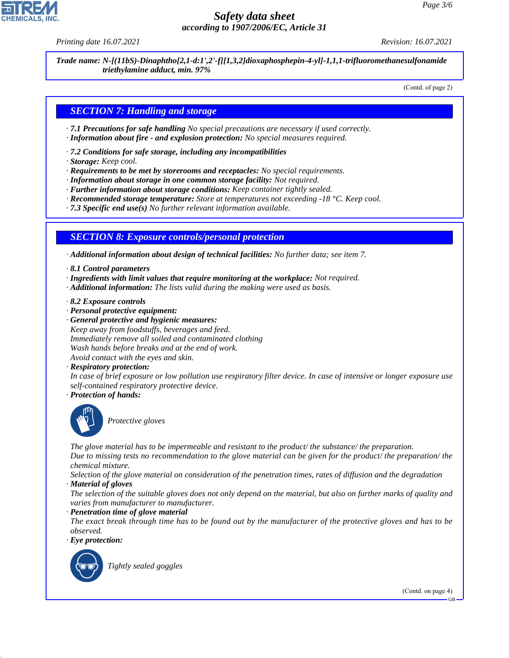*Printing date 16.07.2021 Revision: 16.07.2021*

*Trade name: N-[(11bS)-Dinaphtho[2,1-d:1',2'-f][1,3,2]dioxaphosphepin-4-yl]-1,1,1-trifluoromethanesulfonamide triethylamine adduct, min. 97%*

(Contd. of page 2)

#### *SECTION 7: Handling and storage*

- *· 7.1 Precautions for safe handling No special precautions are necessary if used correctly.*
- *· Information about fire and explosion protection: No special measures required.*
- *· 7.2 Conditions for safe storage, including any incompatibilities*
- *· Storage: Keep cool.*
- *· Requirements to be met by storerooms and receptacles: No special requirements.*
- *· Information about storage in one common storage facility: Not required.*
- *· Further information about storage conditions: Keep container tightly sealed.*
- *· Recommended storage temperature: Store at temperatures not exceeding -18 °C. Keep cool.*
- *· 7.3 Specific end use(s) No further relevant information available.*

#### *SECTION 8: Exposure controls/personal protection*

*· Additional information about design of technical facilities: No further data; see item 7.*

- *· 8.1 Control parameters*
- *· Ingredients with limit values that require monitoring at the workplace: Not required.*
- *· Additional information: The lists valid during the making were used as basis.*
- *· 8.2 Exposure controls*
- *· Personal protective equipment:*
- *· General protective and hygienic measures: Keep away from foodstuffs, beverages and feed. Immediately remove all soiled and contaminated clothing Wash hands before breaks and at the end of work. Avoid contact with the eyes and skin.*
- *· Respiratory protection:*

*In case of brief exposure or low pollution use respiratory filter device. In case of intensive or longer exposure use self-contained respiratory protective device.*

*· Protection of hands:*



\_S*Protective gloves*

*The glove material has to be impermeable and resistant to the product/ the substance/ the preparation.*

*Due to missing tests no recommendation to the glove material can be given for the product/ the preparation/ the chemical mixture.*

*Selection of the glove material on consideration of the penetration times, rates of diffusion and the degradation*

*· Material of gloves*

*The selection of the suitable gloves does not only depend on the material, but also on further marks of quality and varies from manufacturer to manufacturer.*

*· Penetration time of glove material*

*The exact break through time has to be found out by the manufacturer of the protective gloves and has to be observed.*

*· Eye protection:*



44.1.1

\_R*Tightly sealed goggles*

(Contd. on page 4)

GB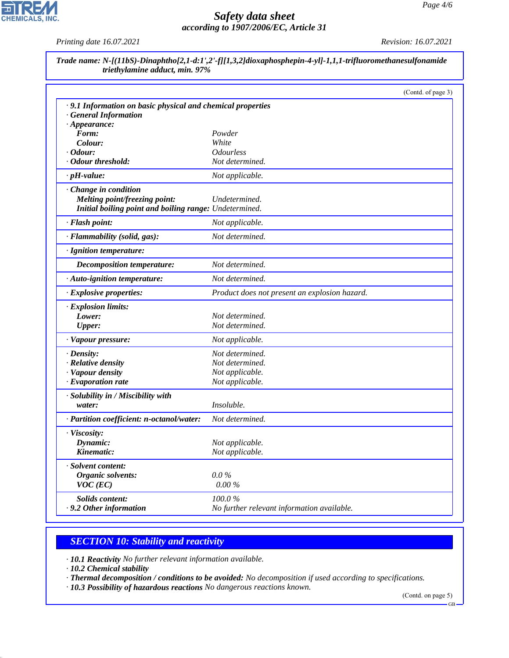### 고 **CHEMICALS, INC.**

## *Safety data sheet according to 1907/2006/EC, Article 31*

*Printing date 16.07.2021 Revision: 16.07.2021*

| Trade name: N-[(11bS)-Dinaphtho[2,1-d:1',2'-f][1,3,2]dioxaphosphepin-4-yl]-1,1,1-trifluoromethanesulfonamide<br>triethylamine adduct, min. 97% |                                               |
|------------------------------------------------------------------------------------------------------------------------------------------------|-----------------------------------------------|
|                                                                                                                                                | (Contd. of page 3)                            |
| · 9.1 Information on basic physical and chemical properties                                                                                    |                                               |
| <b>General Information</b>                                                                                                                     |                                               |
| $\cdot$ Appearance:                                                                                                                            |                                               |
| Form:                                                                                                                                          | Powder                                        |
| Colour:                                                                                                                                        | White                                         |
| Odour:                                                                                                                                         | <i><b>Odourless</b></i>                       |
| · Odour threshold:                                                                                                                             | Not determined.                               |
| $\cdot$ pH-value:                                                                                                                              | Not applicable.                               |
| Change in condition                                                                                                                            |                                               |
| <b>Melting point/freezing point:</b>                                                                                                           | Undetermined.                                 |
| Initial boiling point and boiling range: Undetermined.                                                                                         |                                               |
| · Flash point:                                                                                                                                 | Not applicable.                               |
| · Flammability (solid, gas):                                                                                                                   | Not determined.                               |
| · Ignition temperature:                                                                                                                        |                                               |
| <b>Decomposition temperature:</b>                                                                                                              | Not determined.                               |
| · Auto-ignition temperature:                                                                                                                   | Not determined.                               |
| · Explosive properties:                                                                                                                        | Product does not present an explosion hazard. |
| · Explosion limits:                                                                                                                            |                                               |
| Lower:                                                                                                                                         | Not determined.                               |
| <b>Upper:</b>                                                                                                                                  | Not determined.                               |
| · Vapour pressure:                                                                                                                             | Not applicable.                               |
| $\cdot$ Density:                                                                                                                               | Not determined.                               |
| · Relative density                                                                                                                             | Not determined.                               |
| · Vapour density                                                                                                                               | Not applicable.                               |
| · Evaporation rate                                                                                                                             | Not applicable.                               |
| · Solubility in / Miscibility with                                                                                                             |                                               |
| water:                                                                                                                                         | Insoluble.                                    |
| · Partition coefficient: n-octanol/water:                                                                                                      | Not determined.                               |
| · Viscosity:                                                                                                                                   |                                               |
| Dynamic:                                                                                                                                       | Not applicable.                               |
| Kinematic:                                                                                                                                     | Not applicable.                               |
| · Solvent content:                                                                                                                             |                                               |
| <b>Organic solvents:</b>                                                                                                                       | $0.0\%$                                       |
| $VOC$ (EC)                                                                                                                                     | $0.00\%$                                      |
|                                                                                                                                                |                                               |
| <b>Solids content:</b>                                                                                                                         | 100.0%                                        |
| $\cdot$ 9.2 Other information                                                                                                                  | No further relevant information available.    |

## *SECTION 10: Stability and reactivity*

*· 10.1 Reactivity No further relevant information available.*

*· 10.2 Chemical stability*

44.1.1

*· Thermal decomposition / conditions to be avoided: No decomposition if used according to specifications.*

*· 10.3 Possibility of hazardous reactions No dangerous reactions known.*

(Contd. on page 5)

GB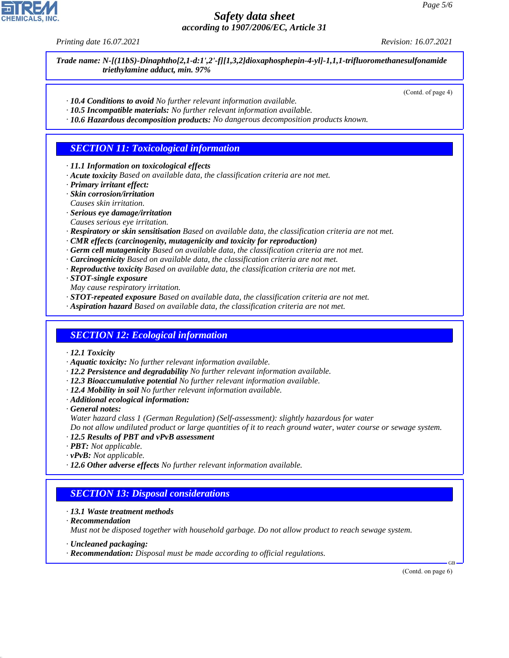

*Trade name: N-[(11bS)-Dinaphtho[2,1-d:1',2'-f][1,3,2]dioxaphosphepin-4-yl]-1,1,1-trifluoromethanesulfonamide triethylamine adduct, min. 97%*

(Contd. of page 4)

- *· 10.4 Conditions to avoid No further relevant information available.*
- *· 10.5 Incompatible materials: No further relevant information available.*
- *· 10.6 Hazardous decomposition products: No dangerous decomposition products known.*

### *SECTION 11: Toxicological information*

*· 11.1 Information on toxicological effects*

- *· Acute toxicity Based on available data, the classification criteria are not met.*
- *· Primary irritant effect:*
- *· Skin corrosion/irritation*
- *Causes skin irritation.*
- *· Serious eye damage/irritation*
- *Causes serious eye irritation.*
- *· Respiratory or skin sensitisation Based on available data, the classification criteria are not met.*
- *· CMR effects (carcinogenity, mutagenicity and toxicity for reproduction)*
- *· Germ cell mutagenicity Based on available data, the classification criteria are not met.*
- *· Carcinogenicity Based on available data, the classification criteria are not met.*
- *· Reproductive toxicity Based on available data, the classification criteria are not met.*
- *· STOT-single exposure*
- *May cause respiratory irritation.*
- *· STOT-repeated exposure Based on available data, the classification criteria are not met.*
- *· Aspiration hazard Based on available data, the classification criteria are not met.*

#### *SECTION 12: Ecological information*

- *· 12.1 Toxicity*
- *· Aquatic toxicity: No further relevant information available.*
- *· 12.2 Persistence and degradability No further relevant information available.*
- *· 12.3 Bioaccumulative potential No further relevant information available.*
- *· 12.4 Mobility in soil No further relevant information available.*
- *· Additional ecological information:*
- *· General notes:*

*Water hazard class 1 (German Regulation) (Self-assessment): slightly hazardous for water*

*Do not allow undiluted product or large quantities of it to reach ground water, water course or sewage system. · 12.5 Results of PBT and vPvB assessment*

- *· PBT: Not applicable.*
- *· vPvB: Not applicable.*
- *· 12.6 Other adverse effects No further relevant information available.*

#### *SECTION 13: Disposal considerations*

- *· 13.1 Waste treatment methods*
- *· Recommendation*

44.1.1

*Must not be disposed together with household garbage. Do not allow product to reach sewage system.*

- *· Uncleaned packaging:*
- *· Recommendation: Disposal must be made according to official regulations.*

(Contd. on page 6)

GB